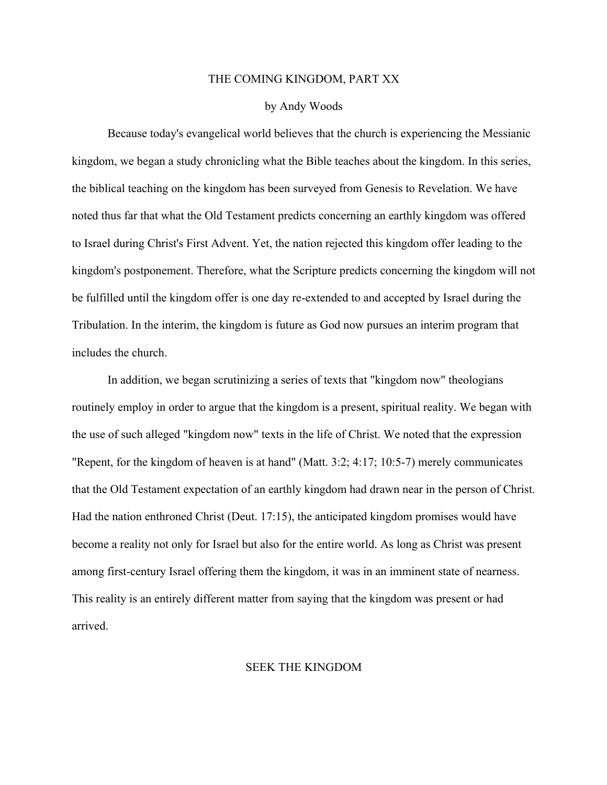## THE COMING KINGDOM, PART XX

## by Andy Woods

Because today's evangelical world believes that the church is experiencing the Messianic kingdom, we began a study chronicling what the Bible teaches about the kingdom. In this series, the biblical teaching on the kingdom has been surveyed from Genesis to Revelation. We have noted thus far that what the Old Testament predicts concerning an earthly kingdom was offered to Israel during Christ's First Advent. Yet, the nation rejected this kingdom offer leading to the kingdom's postponement. Therefore, what the Scripture predicts concerning the kingdom will not be fulfilled until the kingdom offer is one day re-extended to and accepted by Israel during the Tribulation. In the interim, the kingdom is future as God now pursues an interim program that includes the church.

In addition, we began scrutinizing a series of texts that "kingdom now" theologians routinely employ in order to argue that the kingdom is a present, spiritual reality. We began with the use of such alleged "kingdom now" texts in the life of Christ. We noted that the expression "Repent, for the kingdom of heaven is at hand" (Matt. 3:2; 4:17; 10:5-7) merely communicates that the Old Testament expectation of an earthly kingdom had drawn near in the person of Christ. Had the nation enthroned Christ (Deut. 17:15), the anticipated kingdom promises would have become a reality not only for Israel but also for the entire world. As long as Christ was present among first-century Israel offering them the kingdom, it was in an imminent state of nearness. This reality is an entirely different matter from saying that the kingdom was present or had arrived.

## SEEK THE KINGDOM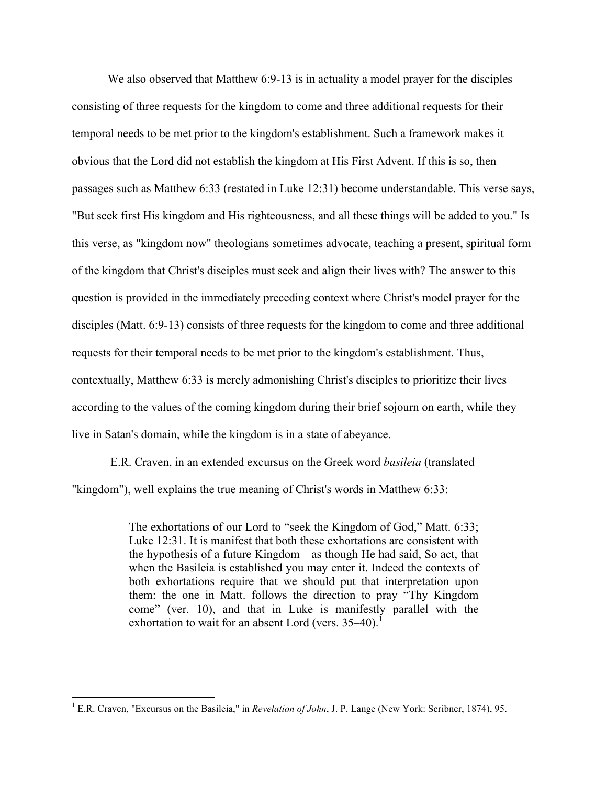We also observed that Matthew 6:9-13 is in actuality a model prayer for the disciples consisting of three requests for the kingdom to come and three additional requests for their temporal needs to be met prior to the kingdom's establishment. Such a framework makes it obvious that the Lord did not establish the kingdom at His First Advent. If this is so, then passages such as Matthew 6:33 (restated in Luke 12:31) become understandable. This verse says, "But seek first His kingdom and His righteousness, and all these things will be added to you." Is this verse, as "kingdom now" theologians sometimes advocate, teaching a present, spiritual form of the kingdom that Christ's disciples must seek and align their lives with? The answer to this question is provided in the immediately preceding context where Christ's model prayer for the disciples (Matt. 6:9-13) consists of three requests for the kingdom to come and three additional requests for their temporal needs to be met prior to the kingdom's establishment. Thus, contextually, Matthew 6:33 is merely admonishing Christ's disciples to prioritize their lives according to the values of the coming kingdom during their brief sojourn on earth, while they live in Satan's domain, while the kingdom is in a state of abeyance.

E.R. Craven, in an extended excursus on the Greek word *basileia* (translated "kingdom"), well explains the true meaning of Christ's words in Matthew 6:33:

> The exhortations of our Lord to "seek the Kingdom of God," Matt. 6:33; Luke 12:31. It is manifest that both these exhortations are consistent with the hypothesis of a future Kingdom—as though He had said, So act, that when the Basileia is established you may enter it. Indeed the contexts of both exhortations require that we should put that interpretation upon them: the one in Matt. follows the direction to pray "Thy Kingdom come" (ver. 10), and that in Luke is manifestly parallel with the exhortation to wait for an absent Lord (vers.  $35-40$ ).<sup>1</sup>

<sup>&</sup>lt;sup>1</sup> E.R. Craven, "Excursus on the Basileia," in *Revelation of John*, J. P. Lange (New York: Scribner, 1874), 95.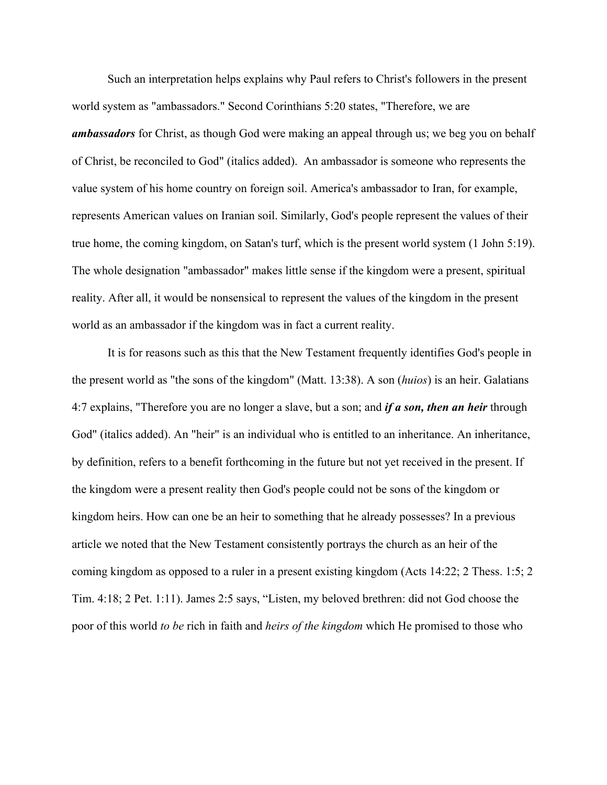Such an interpretation helps explains why Paul refers to Christ's followers in the present world system as "ambassadors." Second Corinthians 5:20 states, "Therefore, we are *ambassadors* for Christ, as though God were making an appeal through us; we beg you on behalf of Christ, be reconciled to God" (italics added). An ambassador is someone who represents the value system of his home country on foreign soil. America's ambassador to Iran, for example, represents American values on Iranian soil. Similarly, God's people represent the values of their true home, the coming kingdom, on Satan's turf, which is the present world system (1 John 5:19). The whole designation "ambassador" makes little sense if the kingdom were a present, spiritual reality. After all, it would be nonsensical to represent the values of the kingdom in the present world as an ambassador if the kingdom was in fact a current reality.

It is for reasons such as this that the New Testament frequently identifies God's people in the present world as "the sons of the kingdom" (Matt. 13:38). A son (*huios*) is an heir. Galatians 4:7 explains, "Therefore you are no longer a slave, but a son; and *if a son, then an heir* through God" (italics added). An "heir" is an individual who is entitled to an inheritance. An inheritance, by definition, refers to a benefit forthcoming in the future but not yet received in the present. If the kingdom were a present reality then God's people could not be sons of the kingdom or kingdom heirs. How can one be an heir to something that he already possesses? In a previous article we noted that the New Testament consistently portrays the church as an heir of the coming kingdom as opposed to a ruler in a present existing kingdom (Acts 14:22; 2 Thess. 1:5; 2 Tim. 4:18; 2 Pet. 1:11). James 2:5 says, "Listen, my beloved brethren: did not God choose the poor of this world *to be* rich in faith and *heirs of the kingdom* which He promised to those who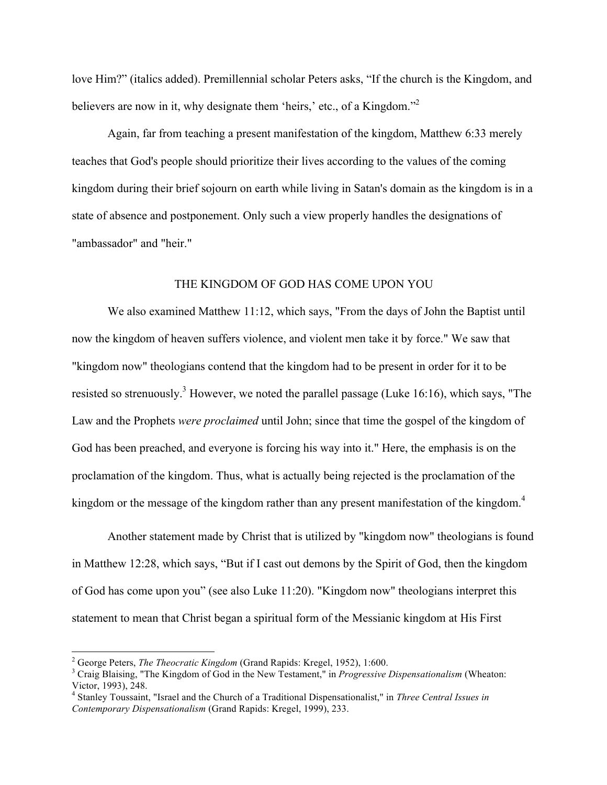love Him?" (italics added). Premillennial scholar Peters asks, "If the church is the Kingdom, and believers are now in it, why designate them 'heirs,' etc., of a Kingdom."<sup>2</sup>

Again, far from teaching a present manifestation of the kingdom, Matthew 6:33 merely teaches that God's people should prioritize their lives according to the values of the coming kingdom during their brief sojourn on earth while living in Satan's domain as the kingdom is in a state of absence and postponement. Only such a view properly handles the designations of "ambassador" and "heir."

## THE KINGDOM OF GOD HAS COME UPON YOU

We also examined Matthew 11:12, which says, "From the days of John the Baptist until now the kingdom of heaven suffers violence, and violent men take it by force." We saw that "kingdom now" theologians contend that the kingdom had to be present in order for it to be resisted so strenuously.<sup>3</sup> However, we noted the parallel passage (Luke 16:16), which says, "The Law and the Prophets *were proclaimed* until John; since that time the gospel of the kingdom of God has been preached, and everyone is forcing his way into it." Here, the emphasis is on the proclamation of the kingdom. Thus, what is actually being rejected is the proclamation of the kingdom or the message of the kingdom rather than any present manifestation of the kingdom.<sup>4</sup>

Another statement made by Christ that is utilized by "kingdom now" theologians is found in Matthew 12:28, which says, "But if I cast out demons by the Spirit of God, then the kingdom of God has come upon you" (see also Luke 11:20). "Kingdom now" theologians interpret this statement to mean that Christ began a spiritual form of the Messianic kingdom at His First

<sup>&</sup>lt;sup>2</sup> George Peters, *The Theocratic Kingdom* (Grand Rapids: Kregel, 1952), 1:600.<br><sup>3</sup> Craig Blaising, "The Kingdom of God in the New Testament," in *Progressive Dispensationalism* (Wheaton: Victor, 1993), 248.

<sup>4</sup> Stanley Toussaint, "Israel and the Church of a Traditional Dispensationalist," in *Three Central Issues in Contemporary Dispensationalism* (Grand Rapids: Kregel, 1999), 233.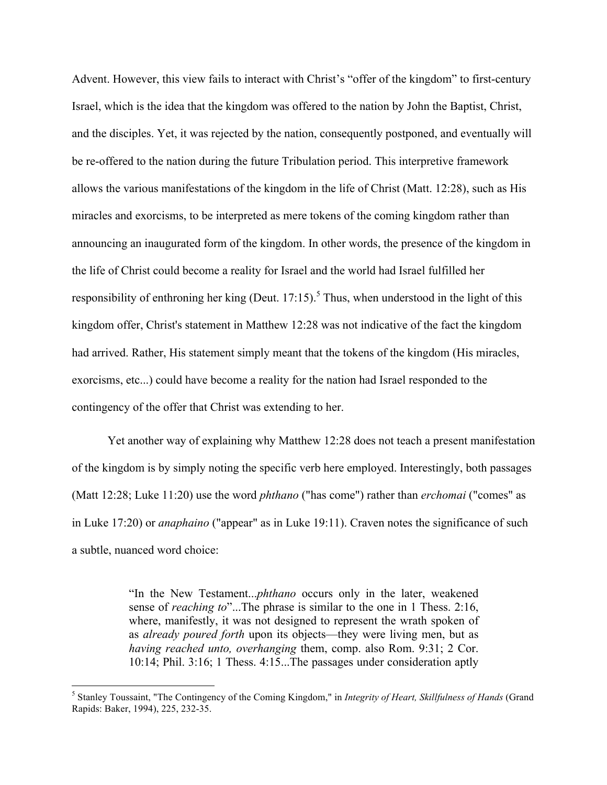Advent. However, this view fails to interact with Christ's "offer of the kingdom" to first-century Israel, which is the idea that the kingdom was offered to the nation by John the Baptist, Christ, and the disciples. Yet, it was rejected by the nation, consequently postponed, and eventually will be re-offered to the nation during the future Tribulation period. This interpretive framework allows the various manifestations of the kingdom in the life of Christ (Matt. 12:28), such as His miracles and exorcisms, to be interpreted as mere tokens of the coming kingdom rather than announcing an inaugurated form of the kingdom. In other words, the presence of the kingdom in the life of Christ could become a reality for Israel and the world had Israel fulfilled her responsibility of enthroning her king (Deut. 17:15).<sup>5</sup> Thus, when understood in the light of this kingdom offer, Christ's statement in Matthew 12:28 was not indicative of the fact the kingdom had arrived. Rather, His statement simply meant that the tokens of the kingdom (His miracles, exorcisms, etc...) could have become a reality for the nation had Israel responded to the contingency of the offer that Christ was extending to her.

Yet another way of explaining why Matthew 12:28 does not teach a present manifestation of the kingdom is by simply noting the specific verb here employed. Interestingly, both passages (Matt 12:28; Luke 11:20) use the word *phthano* ("has come") rather than *erchomai* ("comes" as in Luke 17:20) or *anaphaino* ("appear" as in Luke 19:11). Craven notes the significance of such a subtle, nuanced word choice:

> "In the New Testament...*phthano* occurs only in the later, weakened sense of *reaching to*"...The phrase is similar to the one in 1 Thess. 2:16, where, manifestly, it was not designed to represent the wrath spoken of as *already poured forth* upon its objects—they were living men, but as *having reached unto, overhanging* them, comp. also Rom. 9:31; 2 Cor. 10:14; Phil. 3:16; 1 Thess. 4:15...The passages under consideration aptly

 <sup>5</sup> Stanley Toussaint, "The Contingency of the Coming Kingdom," in *Integrity of Heart, Skillfulness of Hands* (Grand Rapids: Baker, 1994), 225, 232-35.